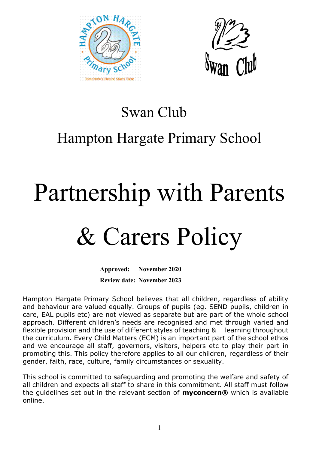



### Swan Club

## Hampton Hargate Primary School

# Partnership with Parents

## & Carers Policy

**Approved: November 2020 Review date: November 2023**

Hampton Hargate Primary School believes that all children, regardless of ability and behaviour are valued equally. Groups of pupils (eg. SEND pupils, children in care, EAL pupils etc) are not viewed as separate but are part of the whole school approach. Different children's needs are recognised and met through varied and flexible provision and the use of different styles of teaching & learning throughout the curriculum. Every Child Matters (ECM) is an important part of the school ethos and we encourage all staff, governors, visitors, helpers etc to play their part in promoting this. This policy therefore applies to all our children, regardless of their gender, faith, race, culture, family circumstances or sexuality.

This school is committed to safeguarding and promoting the welfare and safety of all children and expects all staff to share in this commitment. All staff must follow the guidelines set out in the relevant section of **myconcern®** which is available online.